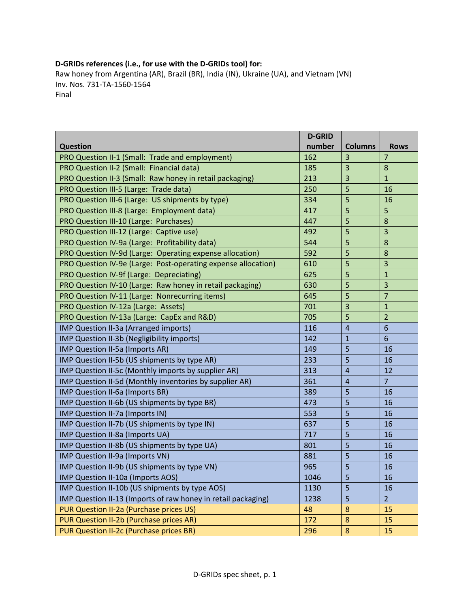## **D‐GRIDs references (i.e., for use with the D‐GRIDs tool) for:**

Raw honey from Argentina (AR), Brazil (BR), India (IN), Ukraine (UA), and Vietnam (VN) Inv. Nos. 731‐TA‐1560‐1564 Final

|                                                               | <b>D-GRID</b> |                |                         |
|---------------------------------------------------------------|---------------|----------------|-------------------------|
| <b>Question</b>                                               | number        | <b>Columns</b> | <b>Rows</b>             |
| PRO Question II-1 (Small: Trade and employment)               | 162           | 3              | $\overline{7}$          |
| PRO Question II-2 (Small: Financial data)                     | 185           | 3              | 8                       |
| PRO Question II-3 (Small: Raw honey in retail packaging)      | 213           | 3              | $\overline{1}$          |
| PRO Question III-5 (Large: Trade data)                        | 250           | 5              | 16                      |
| PRO Question III-6 (Large: US shipments by type)              | 334           | 5              | 16                      |
| PRO Question III-8 (Large: Employment data)                   | 417           | 5              | 5                       |
| PRO Question III-10 (Large: Purchases)                        | 447           | 5              | 8                       |
| PRO Question III-12 (Large: Captive use)                      | 492           | 5              | 3                       |
| PRO Question IV-9a (Large: Profitability data)                | 544           | 5              | 8                       |
| PRO Question IV-9d (Large: Operating expense allocation)      | 592           | 5              | 8                       |
| PRO Question IV-9e (Large: Post-operating expense allocation) | 610           | 5              | 3                       |
| PRO Question IV-9f (Large: Depreciating)                      | 625           | 5              | $\mathbf{1}$            |
| PRO Question IV-10 (Large: Raw honey in retail packaging)     | 630           | 5              | $\overline{\mathbf{3}}$ |
| PRO Question IV-11 (Large: Nonrecurring items)                | 645           | 5              | $\overline{7}$          |
| PRO Question IV-12a (Large: Assets)                           | 701           | 3              | $\mathbf{1}$            |
| PRO Question IV-13a (Large: CapEx and R&D)                    | 705           | 5              | $\overline{2}$          |
| IMP Question II-3a (Arranged imports)                         | 116           | $\overline{4}$ | $6\phantom{1}6$         |
| IMP Question II-3b (Negligibility imports)                    | 142           | $\mathbf{1}$   | $6\phantom{1}6$         |
| IMP Question II-5a (Imports AR)                               | 149           | 5              | 16                      |
| IMP Question II-5b (US shipments by type AR)                  | 233           | 5              | 16                      |
| IMP Question II-5c (Monthly imports by supplier AR)           | 313           | $\overline{4}$ | 12                      |
| IMP Question II-5d (Monthly inventories by supplier AR)       | 361           | $\overline{4}$ | $\overline{7}$          |
| IMP Question II-6a (Imports BR)                               | 389           | 5              | 16                      |
| IMP Question II-6b (US shipments by type BR)                  | 473           | 5              | 16                      |
| IMP Question II-7a (Imports IN)                               | 553           | 5              | 16                      |
| IMP Question II-7b (US shipments by type IN)                  | 637           | 5              | 16                      |
| IMP Question II-8a (Imports UA)                               | 717           | 5              | 16                      |
| IMP Question II-8b (US shipments by type UA)                  | 801           | 5              | 16                      |
| IMP Question II-9a (Imports VN)                               | 881           | 5              | 16                      |
| IMP Question II-9b (US shipments by type VN)                  | 965           | $\overline{5}$ | 16                      |
| IMP Question II-10a (Imports AOS)                             | 1046          | 5              | 16                      |
| IMP Question II-10b (US shipments by type AOS)                | 1130          | 5              | 16                      |
| IMP Question II-13 (Imports of raw honey in retail packaging) | 1238          | 5              | $\overline{2}$          |
| PUR Question II-2a (Purchase prices US)                       | 48            | 8              | 15                      |
| PUR Question II-2b (Purchase prices AR)                       | 172           | 8              | 15                      |
| PUR Question II-2c (Purchase prices BR)                       | 296           | $\bf 8$        | 15                      |